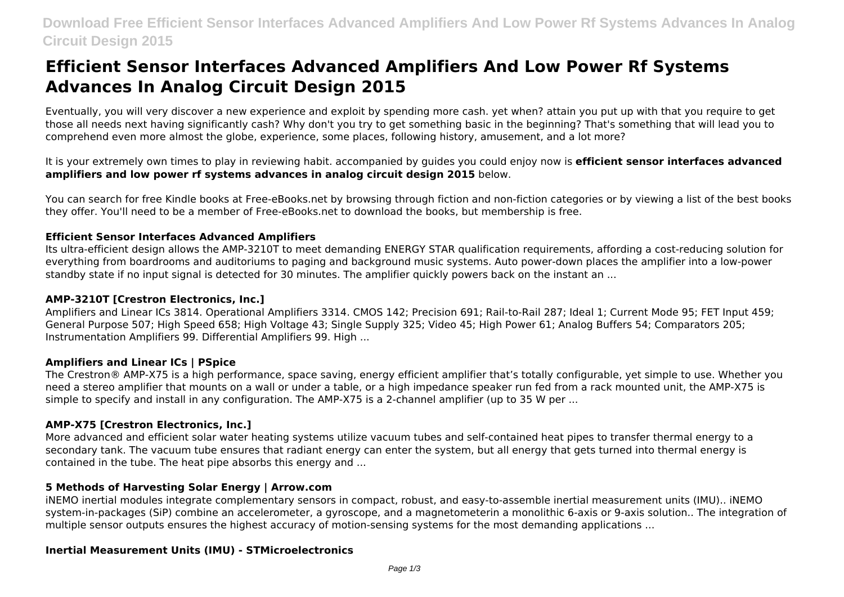# **Efficient Sensor Interfaces Advanced Amplifiers And Low Power Rf Systems Advances In Analog Circuit Design 2015**

Eventually, you will very discover a new experience and exploit by spending more cash. yet when? attain you put up with that you require to get those all needs next having significantly cash? Why don't you try to get something basic in the beginning? That's something that will lead you to comprehend even more almost the globe, experience, some places, following history, amusement, and a lot more?

It is your extremely own times to play in reviewing habit. accompanied by guides you could enjoy now is **efficient sensor interfaces advanced amplifiers and low power rf systems advances in analog circuit design 2015** below.

You can search for free Kindle books at Free-eBooks.net by browsing through fiction and non-fiction categories or by viewing a list of the best books they offer. You'll need to be a member of Free-eBooks.net to download the books, but membership is free.

# **Efficient Sensor Interfaces Advanced Amplifiers**

Its ultra-efficient design allows the AMP-3210T to meet demanding ENERGY STAR qualification requirements, affording a cost-reducing solution for everything from boardrooms and auditoriums to paging and background music systems. Auto power-down places the amplifier into a low-power standby state if no input signal is detected for 30 minutes. The amplifier quickly powers back on the instant an ...

# **AMP-3210T [Crestron Electronics, Inc.]**

Amplifiers and Linear ICs 3814. Operational Amplifiers 3314. CMOS 142; Precision 691; Rail-to-Rail 287; Ideal 1; Current Mode 95; FET Input 459; General Purpose 507; High Speed 658; High Voltage 43; Single Supply 325; Video 45; High Power 61; Analog Buffers 54; Comparators 205; Instrumentation Amplifiers 99. Differential Amplifiers 99. High ...

# **Amplifiers and Linear ICs | PSpice**

The Crestron® AMP-X75 is a high performance, space saving, energy efficient amplifier that's totally configurable, yet simple to use. Whether you need a stereo amplifier that mounts on a wall or under a table, or a high impedance speaker run fed from a rack mounted unit, the AMP-X75 is simple to specify and install in any configuration. The AMP-X75 is a 2-channel amplifier (up to 35 W per ...

# **AMP-X75 [Crestron Electronics, Inc.]**

More advanced and efficient solar water heating systems utilize vacuum tubes and self-contained heat pipes to transfer thermal energy to a secondary tank. The vacuum tube ensures that radiant energy can enter the system, but all energy that gets turned into thermal energy is contained in the tube. The heat pipe absorbs this energy and ...

# **5 Methods of Harvesting Solar Energy | Arrow.com**

iNEMO inertial modules integrate complementary sensors in compact, robust, and easy-to-assemble inertial measurement units (IMU).. iNEMO system-in-packages (SiP) combine an accelerometer, a gyroscope, and a magnetometerin a monolithic 6-axis or 9-axis solution.. The integration of multiple sensor outputs ensures the highest accuracy of motion-sensing systems for the most demanding applications ...

# **Inertial Measurement Units (IMU) - STMicroelectronics**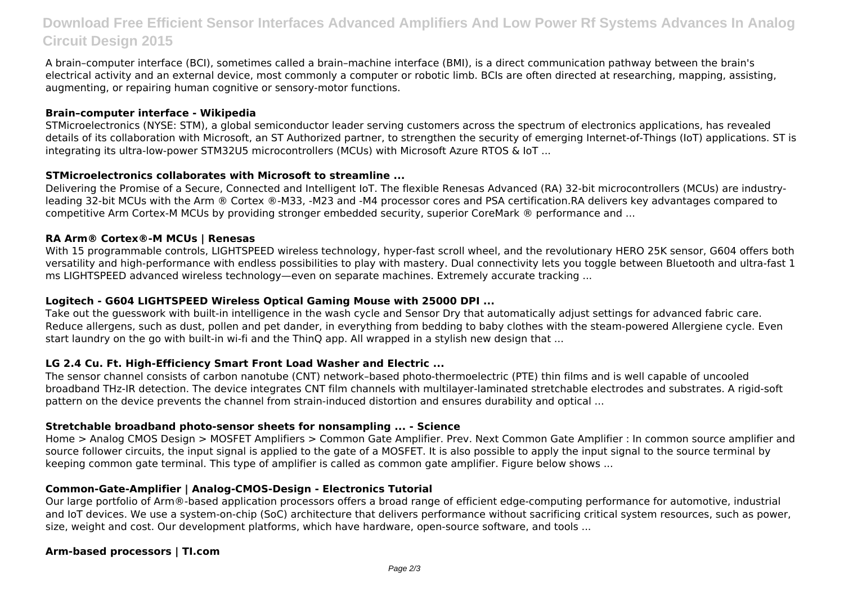# **Download Free Efficient Sensor Interfaces Advanced Amplifiers And Low Power Rf Systems Advances In Analog Circuit Design 2015**

A brain–computer interface (BCI), sometimes called a brain–machine interface (BMI), is a direct communication pathway between the brain's electrical activity and an external device, most commonly a computer or robotic limb. BCIs are often directed at researching, mapping, assisting, augmenting, or repairing human cognitive or sensory-motor functions.

# **Brain–computer interface - Wikipedia**

STMicroelectronics (NYSE: STM), a global semiconductor leader serving customers across the spectrum of electronics applications, has revealed details of its collaboration with Microsoft, an ST Authorized partner, to strengthen the security of emerging Internet-of-Things (IoT) applications. ST is integrating its ultra-low-power STM32U5 microcontrollers (MCUs) with Microsoft Azure RTOS & IoT ...

#### **STMicroelectronics collaborates with Microsoft to streamline ...**

Delivering the Promise of a Secure, Connected and Intelligent IoT. The flexible Renesas Advanced (RA) 32-bit microcontrollers (MCUs) are industryleading 32-bit MCUs with the Arm ® Cortex ®-M33, -M23 and -M4 processor cores and PSA certification.RA delivers key advantages compared to competitive Arm Cortex-M MCUs by providing stronger embedded security, superior CoreMark ® performance and ...

# **RA Arm® Cortex®-M MCUs | Renesas**

With 15 programmable controls, LIGHTSPEED wireless technology, hyper-fast scroll wheel, and the revolutionary HERO 25K sensor, G604 offers both versatility and high-performance with endless possibilities to play with mastery. Dual connectivity lets you toggle between Bluetooth and ultra-fast 1 ms LIGHTSPEED advanced wireless technology—even on separate machines. Extremely accurate tracking ...

#### **Logitech - G604 LIGHTSPEED Wireless Optical Gaming Mouse with 25000 DPI ...**

Take out the guesswork with built-in intelligence in the wash cycle and Sensor Dry that automatically adjust settings for advanced fabric care. Reduce allergens, such as dust, pollen and pet dander, in everything from bedding to baby clothes with the steam-powered Allergiene cycle. Even start laundry on the go with built-in wi-fi and the ThinQ app. All wrapped in a stylish new design that ...

# **LG 2.4 Cu. Ft. High-Efficiency Smart Front Load Washer and Electric ...**

The sensor channel consists of carbon nanotube (CNT) network–based photo-thermoelectric (PTE) thin films and is well capable of uncooled broadband THz-IR detection. The device integrates CNT film channels with multilayer-laminated stretchable electrodes and substrates. A rigid-soft pattern on the device prevents the channel from strain-induced distortion and ensures durability and optical ...

# **Stretchable broadband photo-sensor sheets for nonsampling ... - Science**

Home > Analog CMOS Design > MOSFET Amplifiers > Common Gate Amplifier. Prev. Next Common Gate Amplifier : In common source amplifier and source follower circuits, the input signal is applied to the gate of a MOSFET. It is also possible to apply the input signal to the source terminal by keeping common gate terminal. This type of amplifier is called as common gate amplifier. Figure below shows ...

# **Common-Gate-Amplifier | Analog-CMOS-Design - Electronics Tutorial**

Our large portfolio of Arm®-based application processors offers a broad range of efficient edge-computing performance for automotive, industrial and IoT devices. We use a system-on-chip (SoC) architecture that delivers performance without sacrificing critical system resources, such as power, size, weight and cost. Our development platforms, which have hardware, open-source software, and tools ...

# **Arm-based processors | TI.com**